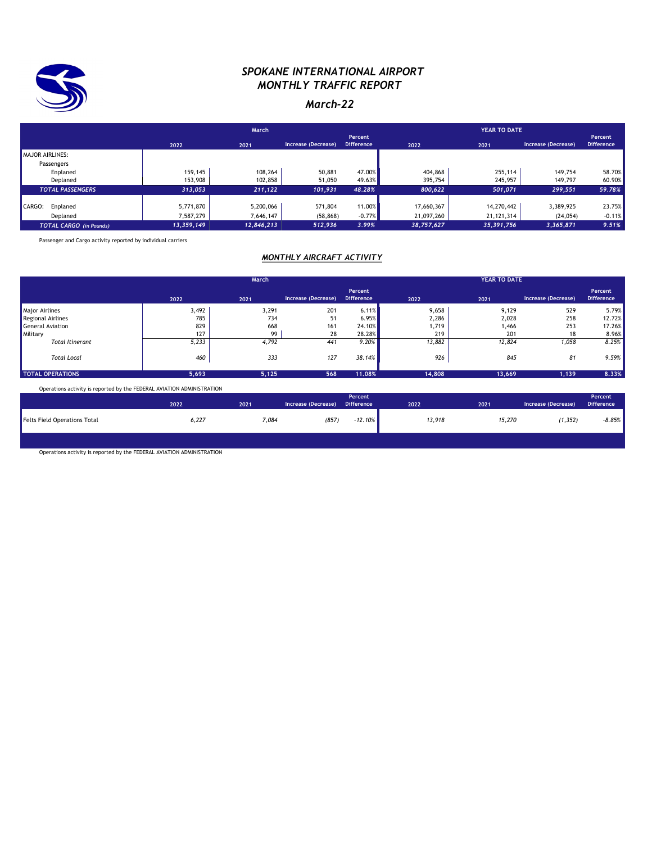

### *SPOKANE INTERNATIONAL AIRPORT MONTHLY TRAFFIC REPORT*

### *March-22*

|                                |            | March      |                     |                              |            |              |                     |                              |
|--------------------------------|------------|------------|---------------------|------------------------------|------------|--------------|---------------------|------------------------------|
|                                | 2022       | 2021       | Increase (Decrease) | Percent<br><b>Difference</b> | 2022       | 2021         | Increase (Decrease) | Percent<br><b>Difference</b> |
| MAJOR AIRLINES:                |            |            |                     |                              |            |              |                     |                              |
| Passengers                     |            |            |                     |                              |            |              |                     |                              |
| Enplaned                       | 159,145    | 108,264    | 50,881              | 47.00%                       | 404,868    | 255,114      | 149.754             | 58.70%                       |
| Deplaned                       | 153,908    | 102,858    | 51,050              | 49.63%                       | 395,754    | 245,957      | 149,797             | 60.90%                       |
| <b>TOTAL PASSENGERS</b>        | 313.053    | 211,122    | 101.931             | 48.28%                       | 800.622    | 501.071      | 299,551             | 59.78%                       |
| CARGO:<br>Enplaned             | 5,771,870  | 5,200,066  | 571,804             | 11.00%                       | 17,660,367 | 14,270,442   | 3,389,925           | 23.75%                       |
|                                |            |            |                     |                              |            |              |                     |                              |
| Deplaned                       | 7,587,279  | 7,646,147  | (58, 868)           | $-0.77%$                     | 21,097,260 | 21, 121, 314 | (24, 054)           | $-0.11%$                     |
| <b>TOTAL CARGO</b> (in Pounds) | 13,359,149 | 12,846,213 | 512.936             | 3.99%                        | 38,757,627 | 35,391,756   | 3,365,871           | 9.51%                        |

Passenger and Cargo activity reported by individual carriers

#### *MONTHLY AIRCRAFT ACTIVITY*

|                         |       | March |                     |                              |        | <b>YEAR TO DATE</b> |                     |                              |  |
|-------------------------|-------|-------|---------------------|------------------------------|--------|---------------------|---------------------|------------------------------|--|
|                         | 2022  | 2021  | Increase (Decrease) | Percent<br><b>Difference</b> | 2022   | 2021                | Increase (Decrease) | Percent<br><b>Difference</b> |  |
| <b>Major Airlines</b>   | 3,492 | 3,291 | 201                 | 6.11%                        | 9,658  | 9,129               | 529                 | 5.79%                        |  |
| Regional Airlines       | 785   | 734   | 51                  | 6.95%                        | 2,286  | 2,028               | 258                 | 12.72%                       |  |
| General Aviation        | 829   | 668   | 161                 | 24.10%                       | 1,719  | 1,466               | 253                 | 17.26%                       |  |
| Military                | 127   | 99    | 28                  | 28.28%                       | 219    | 201                 | 18                  | 8.96%                        |  |
| <b>Total Itinerant</b>  | 5,233 | 4,792 | 441                 | 9.20%                        | 13,882 | 12,824              | 1,058               | 8.25%                        |  |
| <b>Total Local</b>      | 460   | 333   | 127                 | 38.14%                       | 926    | 845                 | 81                  | 9.59%                        |  |
| <b>TOTAL OPERATIONS</b> | 5,693 | 5,125 | 568                 | 11.08%                       | 14,808 | 13,669              | 1,139               | 8.33%                        |  |

Operations activity is reported by the FEDERAL AVIATION ADMINISTRATION

|                                     | 2022  | 2021  | Increase (Decrease) | Percent<br><b>Difference</b> | 2022   | 2021   | Increase (Decrease) | Percent<br><b>Difference</b> |
|-------------------------------------|-------|-------|---------------------|------------------------------|--------|--------|---------------------|------------------------------|
| <b>Felts Field Operations Total</b> | 6,227 | 7,084 | (857)               | $-12.10\%$                   | 13,918 | 15,270 | (1, 352)            | $-8.85%$                     |
|                                     |       |       |                     |                              |        |        |                     |                              |

Operations activity is reported by the FEDERAL AVIATION ADMINISTRATION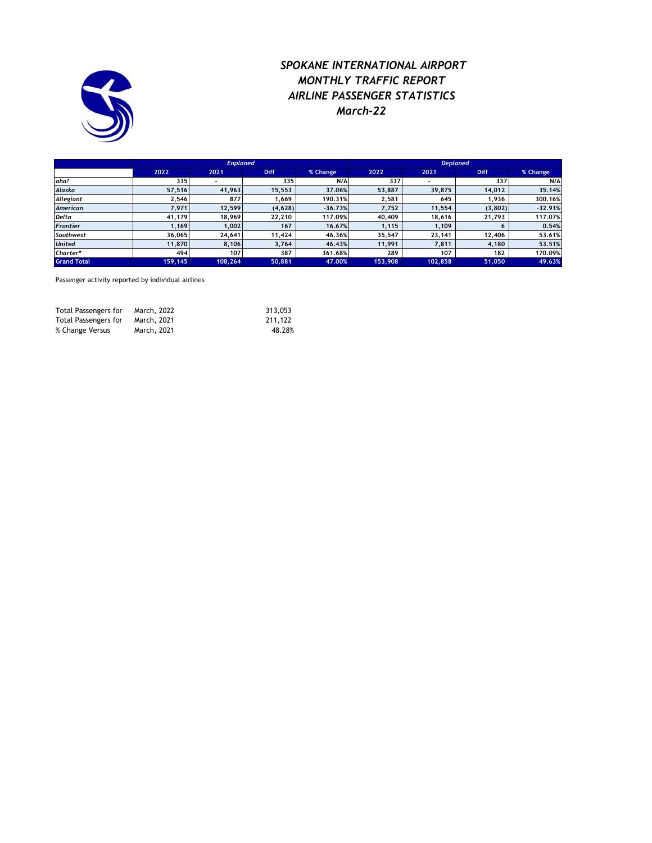

## *SPOKANE INTERNATIONAL AIRPORT MONTHLY TRAFFIC REPORT AIRLINE PASSENGER STATISTICS March-22*

|                    |         | <b>Enplaned</b> |             |           | <b>Deplaned</b> |         |             |           |  |
|--------------------|---------|-----------------|-------------|-----------|-----------------|---------|-------------|-----------|--|
|                    | 2022    | 2021            | <b>Diff</b> | % Change  | 2022            | 2021    | <b>Diff</b> | % Change  |  |
| aha!               | 335     |                 | 335         | N/A       | 337             |         | 337         | N/A       |  |
| Alaska             | 57,516  | 41,963          | 15.553      | 37.06%    | 53,887          | 39,875  | 14,012      | 35,14%    |  |
| Allegiant          | 2,546   | 877             | 1.669       | 190.31%   | 2,581           | 645     | 1,936       | 300.16%   |  |
| American           | 7.971   | 12,599          | (4,628)     | $-36.73%$ | 7.752           | 11,554  | (3,802)     | $-32,91%$ |  |
| <b>Delta</b>       | 41,179  | 18,969          | 22,210      | 117.09%   | 40,409          | 18,616  | 21,793      | 117.07%   |  |
| <b>Frontier</b>    | 1.169   | 1.002           | 167         | 16.67%    | 1.115           | 1.109   | 6           | 0.54%     |  |
| Southwest          | 36.065  | 24,641          | 11,424      | 46.36%    | 35,547          | 23,141  | 12,406      | 53.61%    |  |
| <b>United</b>      | 11,870  | 8,106           | 3,764       | 46.43%    | 11,991          | 7,811   | 4,180       | 53,51%    |  |
| Charter*           | 494     | 107             | 387         | 361.68%   | 289             | 107     | 182         | 170.09%   |  |
| <b>Grand Total</b> | 159,145 | 108,264         | 50,881      | 47.00%    | 153,908         | 102,858 | 51,050      | 49.63%    |  |

Passenger activity reported by individual airlines

| Total Passengers for | March, 2022 | 313.053 |
|----------------------|-------------|---------|
| Total Passengers for | March, 2021 | 211.122 |
| % Change Versus      | March, 2021 | 48.28%  |